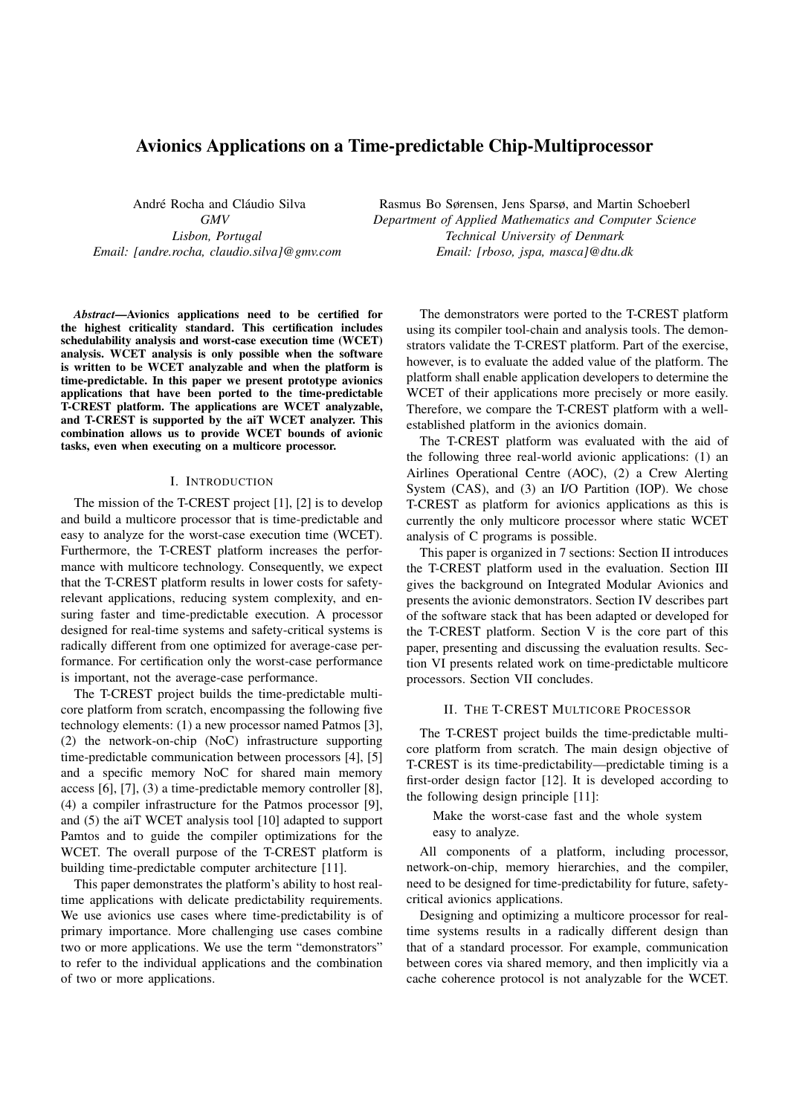# Avionics Applications on a Time-predictable Chip-Multiprocessor

André Rocha and Cláudio Silva *GMV Lisbon, Portugal Email: [andre.rocha, claudio.silva]@gmv.com*

*Abstract*—Avionics applications need to be certified for the highest criticality standard. This certification includes schedulability analysis and worst-case execution time (WCET) analysis. WCET analysis is only possible when the software is written to be WCET analyzable and when the platform is time-predictable. In this paper we present prototype avionics applications that have been ported to the time-predictable T-CREST platform. The applications are WCET analyzable, and T-CREST is supported by the aiT WCET analyzer. This combination allows us to provide WCET bounds of avionic tasks, even when executing on a multicore processor.

#### I. INTRODUCTION

The mission of the T-CREST project [1], [2] is to develop and build a multicore processor that is time-predictable and easy to analyze for the worst-case execution time (WCET). Furthermore, the T-CREST platform increases the performance with multicore technology. Consequently, we expect that the T-CREST platform results in lower costs for safetyrelevant applications, reducing system complexity, and ensuring faster and time-predictable execution. A processor designed for real-time systems and safety-critical systems is radically different from one optimized for average-case performance. For certification only the worst-case performance is important, not the average-case performance.

The T-CREST project builds the time-predictable multicore platform from scratch, encompassing the following five technology elements: (1) a new processor named Patmos [3], (2) the network-on-chip (NoC) infrastructure supporting time-predictable communication between processors [4], [5] and a specific memory NoC for shared main memory access [6], [7], (3) a time-predictable memory controller [8], (4) a compiler infrastructure for the Patmos processor [9], and (5) the aiT WCET analysis tool [10] adapted to support Pamtos and to guide the compiler optimizations for the WCET. The overall purpose of the T-CREST platform is building time-predictable computer architecture [11].

This paper demonstrates the platform's ability to host realtime applications with delicate predictability requirements. We use avionics use cases where time-predictability is of primary importance. More challenging use cases combine two or more applications. We use the term "demonstrators" to refer to the individual applications and the combination of two or more applications.

Rasmus Bo Sørensen, Jens Sparsø, and Martin Schoeberl *Department of Applied Mathematics and Computer Science Technical University of Denmark Email: [rboso, jspa, masca]@dtu.dk*

The demonstrators were ported to the T-CREST platform using its compiler tool-chain and analysis tools. The demonstrators validate the T-CREST platform. Part of the exercise, however, is to evaluate the added value of the platform. The platform shall enable application developers to determine the WCET of their applications more precisely or more easily. Therefore, we compare the T-CREST platform with a wellestablished platform in the avionics domain.

The T-CREST platform was evaluated with the aid of the following three real-world avionic applications: (1) an Airlines Operational Centre (AOC), (2) a Crew Alerting System (CAS), and (3) an I/O Partition (IOP). We chose T-CREST as platform for avionics applications as this is currently the only multicore processor where static WCET analysis of C programs is possible.

This paper is organized in 7 sections: Section II introduces the T-CREST platform used in the evaluation. Section III gives the background on Integrated Modular Avionics and presents the avionic demonstrators. Section IV describes part of the software stack that has been adapted or developed for the T-CREST platform. Section V is the core part of this paper, presenting and discussing the evaluation results. Section VI presents related work on time-predictable multicore processors. Section VII concludes.

## II. THE T-CREST MULTICORE PROCESSOR

The T-CREST project builds the time-predictable multicore platform from scratch. The main design objective of T-CREST is its time-predictability—predictable timing is a first-order design factor [12]. It is developed according to the following design principle [11]:

Make the worst-case fast and the whole system easy to analyze.

All components of a platform, including processor, network-on-chip, memory hierarchies, and the compiler, need to be designed for time-predictability for future, safetycritical avionics applications.

Designing and optimizing a multicore processor for realtime systems results in a radically different design than that of a standard processor. For example, communication between cores via shared memory, and then implicitly via a cache coherence protocol is not analyzable for the WCET.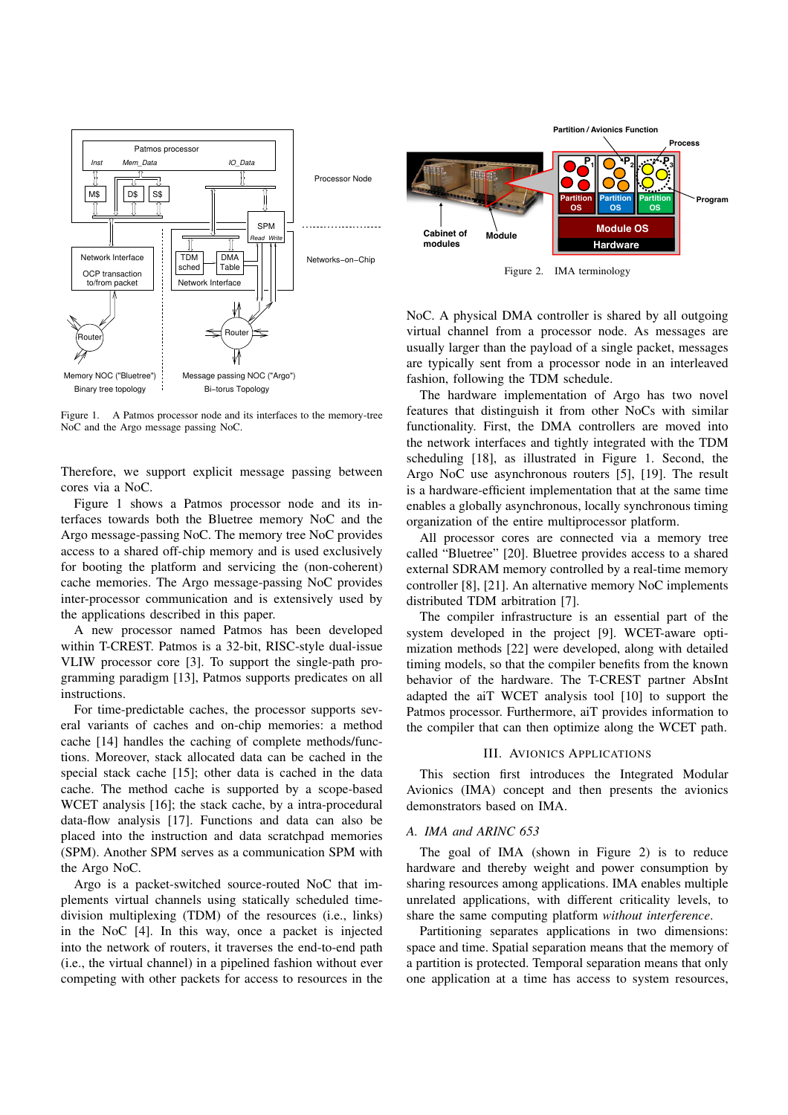

Figure 1. A Patmos processor node and its interfaces to the memory-tree NoC and the Argo message passing NoC.

Therefore, we support explicit message passing between cores via a NoC.

Figure 1 shows a Patmos processor node and its interfaces towards both the Bluetree memory NoC and the Argo message-passing NoC. The memory tree NoC provides access to a shared off-chip memory and is used exclusively for booting the platform and servicing the (non-coherent) cache memories. The Argo message-passing NoC provides inter-processor communication and is extensively used by the applications described in this paper.

A new processor named Patmos has been developed within T-CREST. Patmos is a 32-bit, RISC-style dual-issue VLIW processor core [3]. To support the single-path programming paradigm [13], Patmos supports predicates on all instructions.

For time-predictable caches, the processor supports several variants of caches and on-chip memories: a method cache [14] handles the caching of complete methods/functions. Moreover, stack allocated data can be cached in the special stack cache [15]; other data is cached in the data cache. The method cache is supported by a scope-based WCET analysis [16]; the stack cache, by a intra-procedural data-flow analysis [17]. Functions and data can also be placed into the instruction and data scratchpad memories (SPM). Another SPM serves as a communication SPM with the Argo NoC.

Argo is a packet-switched source-routed NoC that implements virtual channels using statically scheduled timedivision multiplexing (TDM) of the resources (i.e., links) in the NoC [4]. In this way, once a packet is injected into the network of routers, it traverses the end-to-end path (i.e., the virtual channel) in a pipelined fashion without ever competing with other packets for access to resources in the



Figure 2. IMA terminology

NoC. A physical DMA controller is shared by all outgoing virtual channel from a processor node. As messages are usually larger than the payload of a single packet, messages are typically sent from a processor node in an interleaved fashion, following the TDM schedule.

The hardware implementation of Argo has two novel features that distinguish it from other NoCs with similar functionality. First, the DMA controllers are moved into the network interfaces and tightly integrated with the TDM scheduling [18], as illustrated in Figure 1. Second, the Argo NoC use asynchronous routers [5], [19]. The result is a hardware-efficient implementation that at the same time enables a globally asynchronous, locally synchronous timing organization of the entire multiprocessor platform.

All processor cores are connected via a memory tree called "Bluetree" [20]. Bluetree provides access to a shared external SDRAM memory controlled by a real-time memory controller [8], [21]. An alternative memory NoC implements distributed TDM arbitration [7].

The compiler infrastructure is an essential part of the system developed in the project [9]. WCET-aware optimization methods [22] were developed, along with detailed timing models, so that the compiler benefits from the known behavior of the hardware. The T-CREST partner AbsInt adapted the aiT WCET analysis tool [10] to support the Patmos processor. Furthermore, aiT provides information to the compiler that can then optimize along the WCET path.

#### III. AVIONICS APPLICATIONS

This section first introduces the Integrated Modular Avionics (IMA) concept and then presents the avionics demonstrators based on IMA.

# *A. IMA and ARINC 653*

The goal of IMA (shown in Figure 2) is to reduce hardware and thereby weight and power consumption by sharing resources among applications. IMA enables multiple unrelated applications, with different criticality levels, to share the same computing platform *without interference*.

Partitioning separates applications in two dimensions: space and time. Spatial separation means that the memory of a partition is protected. Temporal separation means that only one application at a time has access to system resources,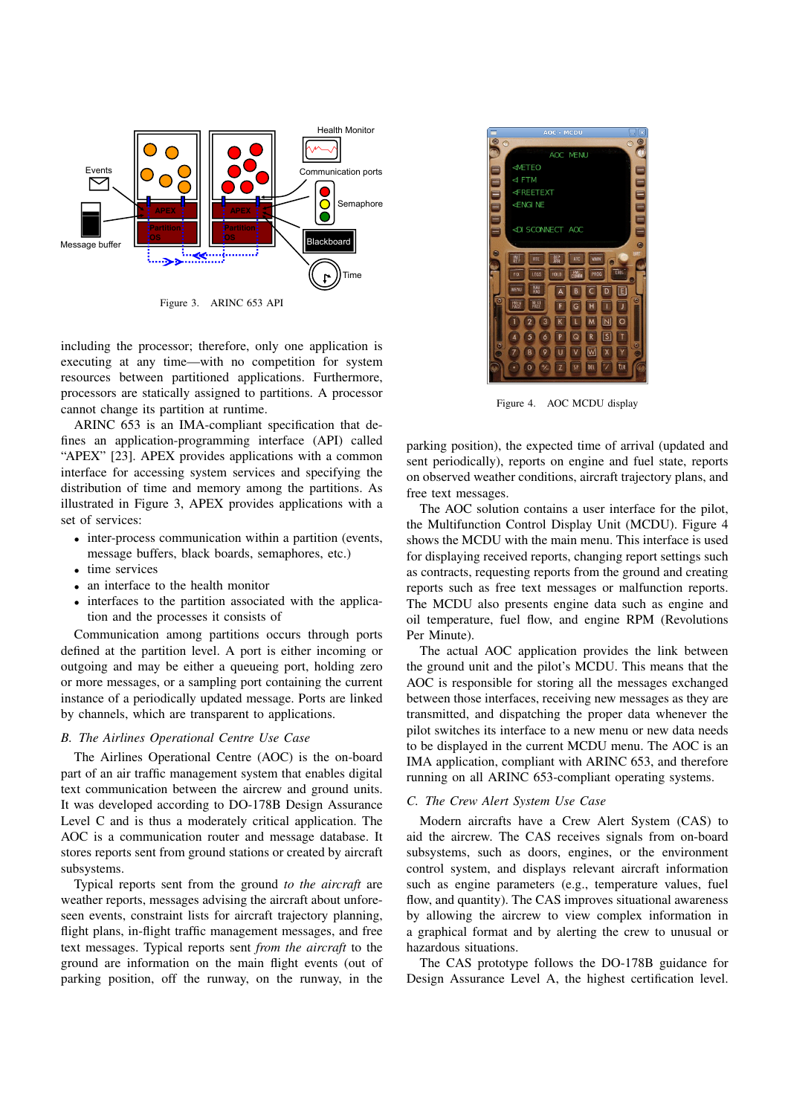

Figure 3. ARINC 653 API

including the processor; therefore, only one application is executing at any time—with no competition for system resources between partitioned applications. Furthermore, processors are statically assigned to partitions. A processor cannot change its partition at runtime.

ARINC 653 is an IMA-compliant specification that defines an application-programming interface (API) called "APEX" [23]. APEX provides applications with a common interface for accessing system services and specifying the distribution of time and memory among the partitions. As illustrated in Figure 3, APEX provides applications with a set of services:

- inter-process communication within a partition (events, message buffers, black boards, semaphores, etc.)
- *•* time services
- *•* an interface to the health monitor
- interfaces to the partition associated with the application and the processes it consists of

Communication among partitions occurs through ports defined at the partition level. A port is either incoming or outgoing and may be either a queueing port, holding zero or more messages, or a sampling port containing the current instance of a periodically updated message. Ports are linked by channels, which are transparent to applications.

# *B. The Airlines Operational Centre Use Case*

The Airlines Operational Centre (AOC) is the on-board part of an air traffic management system that enables digital text communication between the aircrew and ground units. It was developed according to DO-178B Design Assurance Level C and is thus a moderately critical application. The AOC is a communication router and message database. It stores reports sent from ground stations or created by aircraft subsystems.

Typical reports sent from the ground *to the aircraft* are weather reports, messages advising the aircraft about unforeseen events, constraint lists for aircraft trajectory planning, flight plans, in-flight traffic management messages, and free text messages. Typical reports sent *from the aircraft* to the ground are information on the main flight events (out of parking position, off the runway, on the runway, in the



Figure 4. AOC MCDU display

parking position), the expected time of arrival (updated and sent periodically), reports on engine and fuel state, reports on observed weather conditions, aircraft trajectory plans, and free text messages.

The AOC solution contains a user interface for the pilot, the Multifunction Control Display Unit (MCDU). Figure 4 shows the MCDU with the main menu. This interface is used for displaying received reports, changing report settings such as contracts, requesting reports from the ground and creating reports such as free text messages or malfunction reports. The MCDU also presents engine data such as engine and oil temperature, fuel flow, and engine RPM (Revolutions Per Minute).

The actual AOC application provides the link between the ground unit and the pilot's MCDU. This means that the AOC is responsible for storing all the messages exchanged between those interfaces, receiving new messages as they are transmitted, and dispatching the proper data whenever the pilot switches its interface to a new menu or new data needs to be displayed in the current MCDU menu. The AOC is an IMA application, compliant with ARINC 653, and therefore running on all ARINC 653-compliant operating systems.

### *C. The Crew Alert System Use Case*

Modern aircrafts have a Crew Alert System (CAS) to aid the aircrew. The CAS receives signals from on-board subsystems, such as doors, engines, or the environment control system, and displays relevant aircraft information such as engine parameters (e.g., temperature values, fuel flow, and quantity). The CAS improves situational awareness by allowing the aircrew to view complex information in a graphical format and by alerting the crew to unusual or hazardous situations.

The CAS prototype follows the DO-178B guidance for Design Assurance Level A, the highest certification level.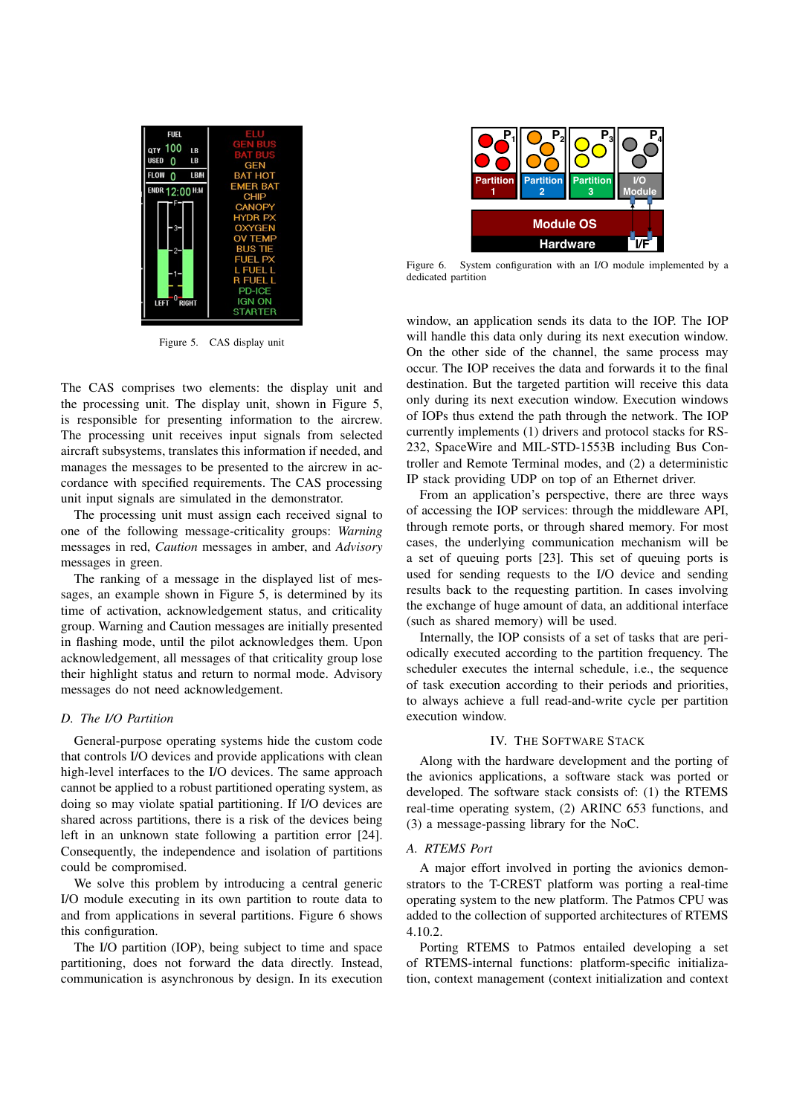

Figure 5. CAS display unit

The CAS comprises two elements: the display unit and the processing unit. The display unit, shown in Figure 5, is responsible for presenting information to the aircrew. The processing unit receives input signals from selected aircraft subsystems, translates this information if needed, and manages the messages to be presented to the aircrew in accordance with specified requirements. The CAS processing unit input signals are simulated in the demonstrator.

The processing unit must assign each received signal to one of the following message-criticality groups: *Warning* messages in red, *Caution* messages in amber, and *Advisory* messages in green.

The ranking of a message in the displayed list of messages, an example shown in Figure 5, is determined by its time of activation, acknowledgement status, and criticality group. Warning and Caution messages are initially presented in flashing mode, until the pilot acknowledges them. Upon acknowledgement, all messages of that criticality group lose their highlight status and return to normal mode. Advisory messages do not need acknowledgement.

# *D. The I/O Partition*

General-purpose operating systems hide the custom code that controls I/O devices and provide applications with clean high-level interfaces to the I/O devices. The same approach cannot be applied to a robust partitioned operating system, as doing so may violate spatial partitioning. If I/O devices are shared across partitions, there is a risk of the devices being left in an unknown state following a partition error [24]. Consequently, the independence and isolation of partitions could be compromised.

We solve this problem by introducing a central generic I/O module executing in its own partition to route data to and from applications in several partitions. Figure 6 shows this configuration.

The I/O partition (IOP), being subject to time and space partitioning, does not forward the data directly. Instead, communication is asynchronous by design. In its execution



Figure 6. System configuration with an I/O module implemented by a dedicated partition

window, an application sends its data to the IOP. The IOP will handle this data only during its next execution window. On the other side of the channel, the same process may occur. The IOP receives the data and forwards it to the final destination. But the targeted partition will receive this data only during its next execution window. Execution windows of IOPs thus extend the path through the network. The IOP currently implements (1) drivers and protocol stacks for RS-232, SpaceWire and MIL-STD-1553B including Bus Controller and Remote Terminal modes, and (2) a deterministic IP stack providing UDP on top of an Ethernet driver.

From an application's perspective, there are three ways of accessing the IOP services: through the middleware API, through remote ports, or through shared memory. For most cases, the underlying communication mechanism will be a set of queuing ports [23]. This set of queuing ports is used for sending requests to the I/O device and sending results back to the requesting partition. In cases involving the exchange of huge amount of data, an additional interface (such as shared memory) will be used.

Internally, the IOP consists of a set of tasks that are periodically executed according to the partition frequency. The scheduler executes the internal schedule, i.e., the sequence of task execution according to their periods and priorities, to always achieve a full read-and-write cycle per partition execution window.

### IV. THE SOFTWARE STACK

Along with the hardware development and the porting of the avionics applications, a software stack was ported or developed. The software stack consists of: (1) the RTEMS real-time operating system, (2) ARINC 653 functions, and (3) a message-passing library for the NoC.

# *A. RTEMS Port*

A major effort involved in porting the avionics demonstrators to the T-CREST platform was porting a real-time operating system to the new platform. The Patmos CPU was added to the collection of supported architectures of RTEMS 4.10.2.

Porting RTEMS to Patmos entailed developing a set of RTEMS-internal functions: platform-specific initialization, context management (context initialization and context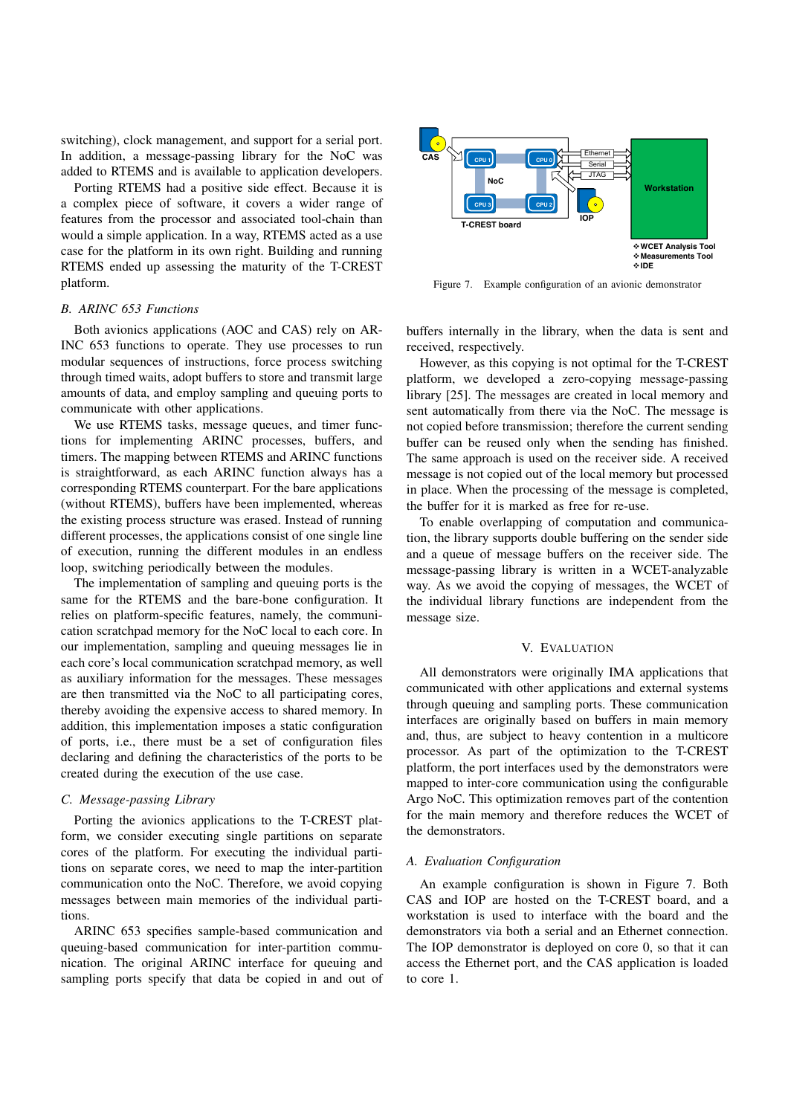switching), clock management, and support for a serial port. In addition, a message-passing library for the NoC was added to RTEMS and is available to application developers.

Porting RTEMS had a positive side effect. Because it is a complex piece of software, it covers a wider range of features from the processor and associated tool-chain than would a simple application. In a way, RTEMS acted as a use case for the platform in its own right. Building and running RTEMS ended up assessing the maturity of the T-CREST platform.

#### *B. ARINC 653 Functions*

Both avionics applications (AOC and CAS) rely on AR-INC 653 functions to operate. They use processes to run modular sequences of instructions, force process switching through timed waits, adopt buffers to store and transmit large amounts of data, and employ sampling and queuing ports to communicate with other applications.

We use RTEMS tasks, message queues, and timer functions for implementing ARINC processes, buffers, and timers. The mapping between RTEMS and ARINC functions is straightforward, as each ARINC function always has a corresponding RTEMS counterpart. For the bare applications (without RTEMS), buffers have been implemented, whereas the existing process structure was erased. Instead of running different processes, the applications consist of one single line of execution, running the different modules in an endless loop, switching periodically between the modules.

The implementation of sampling and queuing ports is the same for the RTEMS and the bare-bone configuration. It relies on platform-specific features, namely, the communication scratchpad memory for the NoC local to each core. In our implementation, sampling and queuing messages lie in each core's local communication scratchpad memory, as well as auxiliary information for the messages. These messages are then transmitted via the NoC to all participating cores, thereby avoiding the expensive access to shared memory. In addition, this implementation imposes a static configuration of ports, i.e., there must be a set of configuration files declaring and defining the characteristics of the ports to be created during the execution of the use case.

#### *C. Message-passing Library*

Porting the avionics applications to the T-CREST platform, we consider executing single partitions on separate cores of the platform. For executing the individual partitions on separate cores, we need to map the inter-partition communication onto the NoC. Therefore, we avoid copying messages between main memories of the individual partitions.

ARINC 653 specifies sample-based communication and queuing-based communication for inter-partition communication. The original ARINC interface for queuing and sampling ports specify that data be copied in and out of



Figure 7. Example configuration of an avionic demonstrator

buffers internally in the library, when the data is sent and received, respectively.

However, as this copying is not optimal for the T-CREST platform, we developed a zero-copying message-passing library [25]. The messages are created in local memory and sent automatically from there via the NoC. The message is not copied before transmission; therefore the current sending buffer can be reused only when the sending has finished. The same approach is used on the receiver side. A received message is not copied out of the local memory but processed in place. When the processing of the message is completed, the buffer for it is marked as free for re-use.

To enable overlapping of computation and communication, the library supports double buffering on the sender side and a queue of message buffers on the receiver side. The message-passing library is written in a WCET-analyzable way. As we avoid the copying of messages, the WCET of the individual library functions are independent from the message size.

#### V. EVALUATION

All demonstrators were originally IMA applications that communicated with other applications and external systems through queuing and sampling ports. These communication interfaces are originally based on buffers in main memory and, thus, are subject to heavy contention in a multicore processor. As part of the optimization to the T-CREST platform, the port interfaces used by the demonstrators were mapped to inter-core communication using the configurable Argo NoC. This optimization removes part of the contention for the main memory and therefore reduces the WCET of the demonstrators.

# *A. Evaluation Configuration*

An example configuration is shown in Figure 7. Both CAS and IOP are hosted on the T-CREST board, and a workstation is used to interface with the board and the demonstrators via both a serial and an Ethernet connection. The IOP demonstrator is deployed on core 0, so that it can access the Ethernet port, and the CAS application is loaded to core 1.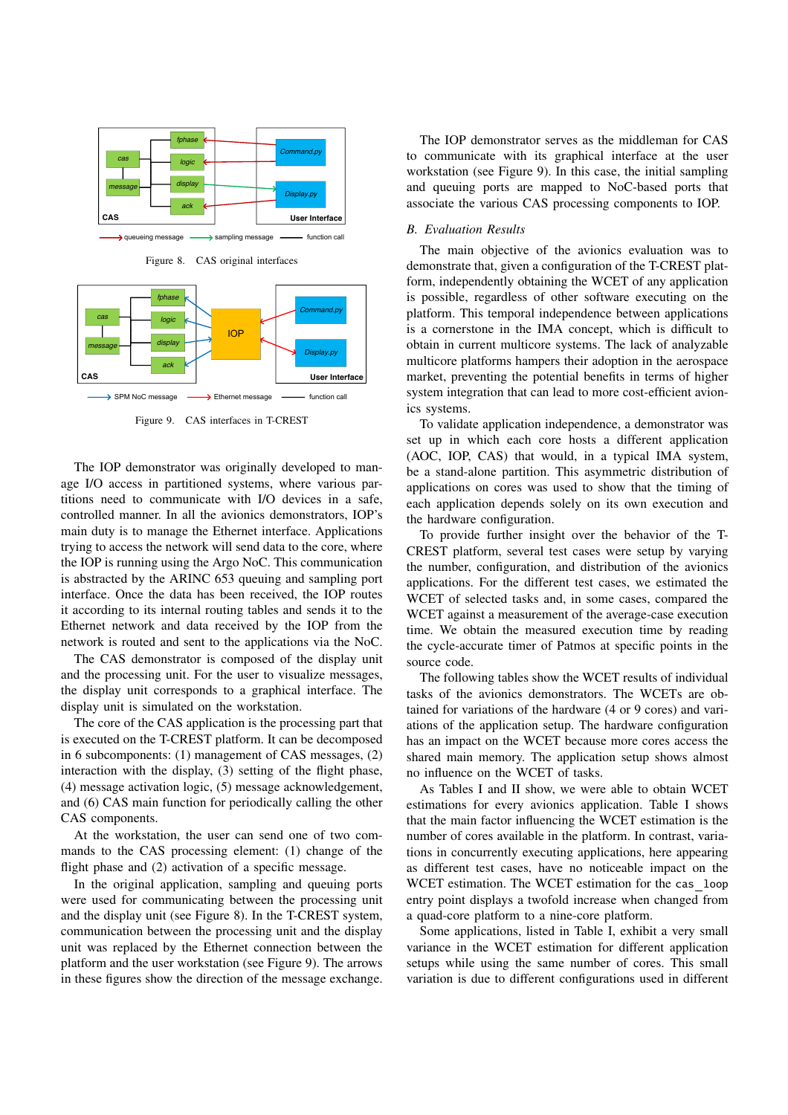

Figure 8. CAS original interfaces



Figure 9. CAS interfaces in T-CREST

The IOP demonstrator was originally developed to manage I/O access in partitioned systems, where various partitions need to communicate with I/O devices in a safe, controlled manner. In all the avionics demonstrators, IOP's main duty is to manage the Ethernet interface. Applications trying to access the network will send data to the core, where the IOP is running using the Argo NoC. This communication is abstracted by the ARINC 653 queuing and sampling port interface. Once the data has been received, the IOP routes it according to its internal routing tables and sends it to the Ethernet network and data received by the IOP from the network is routed and sent to the applications via the NoC.

The CAS demonstrator is composed of the display unit and the processing unit. For the user to visualize messages, the display unit corresponds to a graphical interface. The display unit is simulated on the workstation.

The core of the CAS application is the processing part that is executed on the T-CREST platform. It can be decomposed in 6 subcomponents: (1) management of CAS messages, (2) interaction with the display, (3) setting of the flight phase, (4) message activation logic, (5) message acknowledgement, and (6) CAS main function for periodically calling the other CAS components.

At the workstation, the user can send one of two commands to the CAS processing element: (1) change of the flight phase and (2) activation of a specific message.

In the original application, sampling and queuing ports were used for communicating between the processing unit and the display unit (see Figure 8). In the T-CREST system, communication between the processing unit and the display unit was replaced by the Ethernet connection between the platform and the user workstation (see Figure 9). The arrows in these figures show the direction of the message exchange.

The IOP demonstrator serves as the middleman for CAS to communicate with its graphical interface at the user workstation (see Figure 9). In this case, the initial sampling and queuing ports are mapped to NoC-based ports that associate the various CAS processing components to IOP.

# *B. Evaluation Results*

The main objective of the avionics evaluation was to demonstrate that, given a configuration of the T-CREST platform, independently obtaining the WCET of any application is possible, regardless of other software executing on the platform. This temporal independence between applications is a cornerstone in the IMA concept, which is difficult to obtain in current multicore systems. The lack of analyzable multicore platforms hampers their adoption in the aerospace market, preventing the potential benefits in terms of higher system integration that can lead to more cost-efficient avionics systems.

To validate application independence, a demonstrator was set up in which each core hosts a different application (AOC, IOP, CAS) that would, in a typical IMA system, be a stand-alone partition. This asymmetric distribution of applications on cores was used to show that the timing of each application depends solely on its own execution and the hardware configuration.

To provide further insight over the behavior of the T-CREST platform, several test cases were setup by varying the number, configuration, and distribution of the avionics applications. For the different test cases, we estimated the WCET of selected tasks and, in some cases, compared the WCET against a measurement of the average-case execution time. We obtain the measured execution time by reading the cycle-accurate timer of Patmos at specific points in the source code.

The following tables show the WCET results of individual tasks of the avionics demonstrators. The WCETs are obtained for variations of the hardware (4 or 9 cores) and variations of the application setup. The hardware configuration has an impact on the WCET because more cores access the shared main memory. The application setup shows almost no influence on the WCET of tasks.

As Tables I and II show, we were able to obtain WCET estimations for every avionics application. Table I shows that the main factor influencing the WCET estimation is the number of cores available in the platform. In contrast, variations in concurrently executing applications, here appearing as different test cases, have no noticeable impact on the WCET estimation. The WCET estimation for the cas loop entry point displays a twofold increase when changed from a quad-core platform to a nine-core platform.

Some applications, listed in Table I, exhibit a very small variance in the WCET estimation for different application setups while using the same number of cores. This small variation is due to different configurations used in different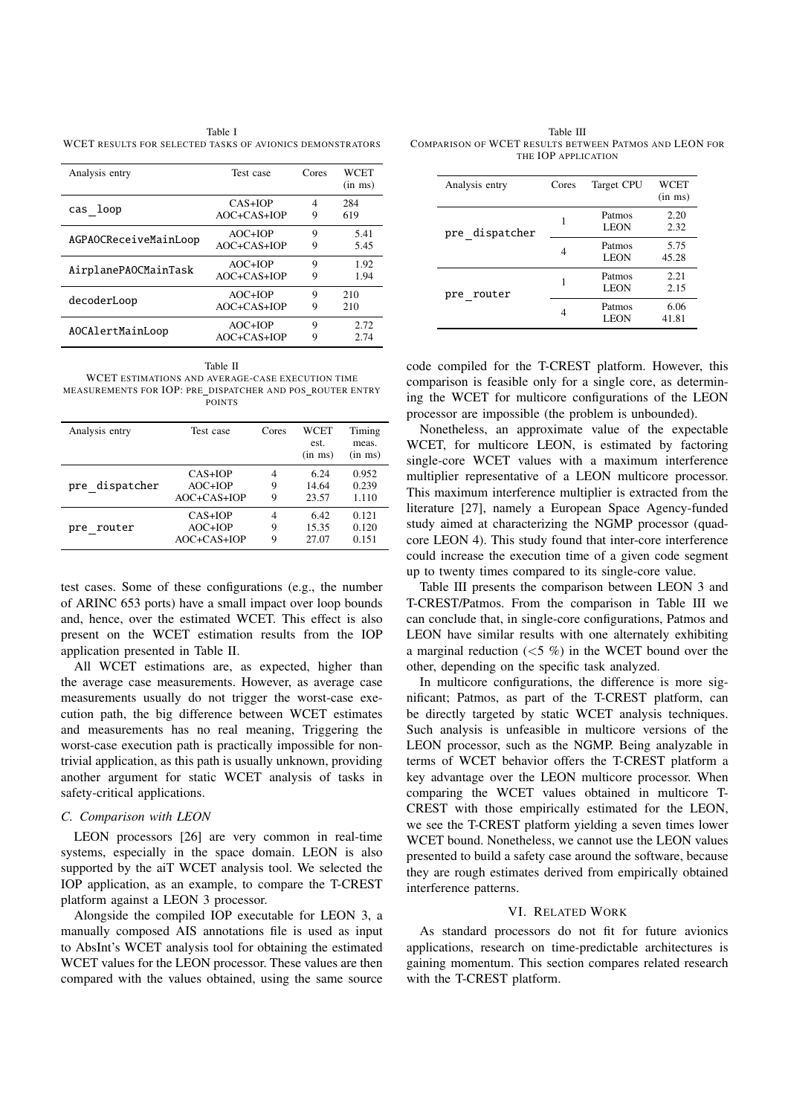|                                                           | Table I |  |
|-----------------------------------------------------------|---------|--|
| WCET RESULTS FOR SELECTED TASKS OF AVIONICS DEMONSTRATORS |         |  |

| Analysis entry        | Test case         | Cores | <b>WCET</b><br>$(in$ ms $)$ |
|-----------------------|-------------------|-------|-----------------------------|
| cas loop              | $CAS+IOP$         | 4     | 284                         |
|                       | $AOC + CAS + IOP$ | 9     | 619                         |
| AGPAOCReceiveMainLoop | $AOC+IOP$         | 9     | 5.41                        |
|                       | $AOC + CAS + IOP$ | 9     | 5.45                        |
| AirplanePAOCMainTask  | $AOC+IOP$         | 9     | 1.92                        |
|                       | $AOC + CAS + IOP$ | 9     | 1.94                        |
| decoderLoop           | $AOC+IOP$         | 9     | 210                         |
|                       | $AOC + CAS + IOP$ | 9     | 210                         |
| AOCAlertMainLoop      | $AOC+IOP$         | 9     | 2.72                        |
|                       | $AOC + CAS + IOP$ | 9     | 2.74                        |

Table II WCET ESTIMATIONS AND AVERAGE-CASE EXECUTION TIME MEASUREMENTS FOR IOP: PRE DISPATCHER AND POS ROUTER ENTRY POINTS

| Analysis entry | Test case                                   | Cores       | WCET<br>est.<br>$(in$ ms) | Timing<br>meas.<br>$(in \, ms)$ |
|----------------|---------------------------------------------|-------------|---------------------------|---------------------------------|
| pre dispatcher | $CAS+IOP$<br>$AOC+IOP$<br>AOC+CAS+IOP       | 4<br>9<br>9 | 6.24<br>14.64<br>23.57    | 0.952<br>0.239<br>1.110         |
| router<br>pre  | $CAS+IOP$<br>$AOC+IOP$<br>$AOC + CAS + IOP$ | 4<br>9<br>9 | 6.42<br>15.35<br>27.07    | 0.121<br>0.120<br>0.151         |

test cases. Some of these configurations (e.g., the number of ARINC 653 ports) have a small impact over loop bounds and, hence, over the estimated WCET. This effect is also present on the WCET estimation results from the IOP application presented in Table II.

All WCET estimations are, as expected, higher than the average case measurements. However, as average case measurements usually do not trigger the worst-case execution path, the big difference between WCET estimates and measurements has no real meaning, Triggering the worst-case execution path is practically impossible for nontrivial application, as this path is usually unknown, providing another argument for static WCET analysis of tasks in safety-critical applications.

## *C. Comparison with LEON*

LEON processors [26] are very common in real-time systems, especially in the space domain. LEON is also supported by the aiT WCET analysis tool. We selected the IOP application, as an example, to compare the T-CREST platform against a LEON 3 processor.

Alongside the compiled IOP executable for LEON 3, a manually composed AIS annotations file is used as input to AbsInt's WCET analysis tool for obtaining the estimated WCET values for the LEON processor. These values are then compared with the values obtained, using the same source

Table III COMPARISON OF WCET RESULTS BETWEEN PATMOS AND LEON FOR THE IOP APPLICATION

| Analysis entry | Cores | Target CPU            | <b>WCET</b><br>$(in$ ms $)$ |
|----------------|-------|-----------------------|-----------------------------|
| pre dispatcher |       | Patmos<br><b>LEON</b> | 2.20<br>2.32                |
|                | 4     | Patmos<br><b>LEON</b> | 5.75<br>45.28               |
| pre router     |       | Patmos<br><b>LEON</b> | 2.21<br>2.15                |
|                | 4     | Patmos<br><b>LEON</b> | 6.06<br>41.81               |

code compiled for the T-CREST platform. However, this comparison is feasible only for a single core, as determining the WCET for multicore configurations of the LEON processor are impossible (the problem is unbounded).

Nonetheless, an approximate value of the expectable WCET, for multicore LEON, is estimated by factoring single-core WCET values with a maximum interference multiplier representative of a LEON multicore processor. This maximum interference multiplier is extracted from the literature [27], namely a European Space Agency-funded study aimed at characterizing the NGMP processor (quadcore LEON 4). This study found that inter-core interference could increase the execution time of a given code segment up to twenty times compared to its single-core value.

Table III presents the comparison between LEON 3 and T-CREST/Patmos. From the comparison in Table III we can conclude that, in single-core configurations, Patmos and LEON have similar results with one alternately exhibiting a marginal reduction (*<*5 %) in the WCET bound over the other, depending on the specific task analyzed.

In multicore configurations, the difference is more significant; Patmos, as part of the T-CREST platform, can be directly targeted by static WCET analysis techniques. Such analysis is unfeasible in multicore versions of the LEON processor, such as the NGMP. Being analyzable in terms of WCET behavior offers the T-CREST platform a key advantage over the LEON multicore processor. When comparing the WCET values obtained in multicore T-CREST with those empirically estimated for the LEON, we see the T-CREST platform yielding a seven times lower WCET bound. Nonetheless, we cannot use the LEON values presented to build a safety case around the software, because they are rough estimates derived from empirically obtained interference patterns.

#### VI. RELATED WORK

As standard processors do not fit for future avionics applications, research on time-predictable architectures is gaining momentum. This section compares related research with the T-CREST platform.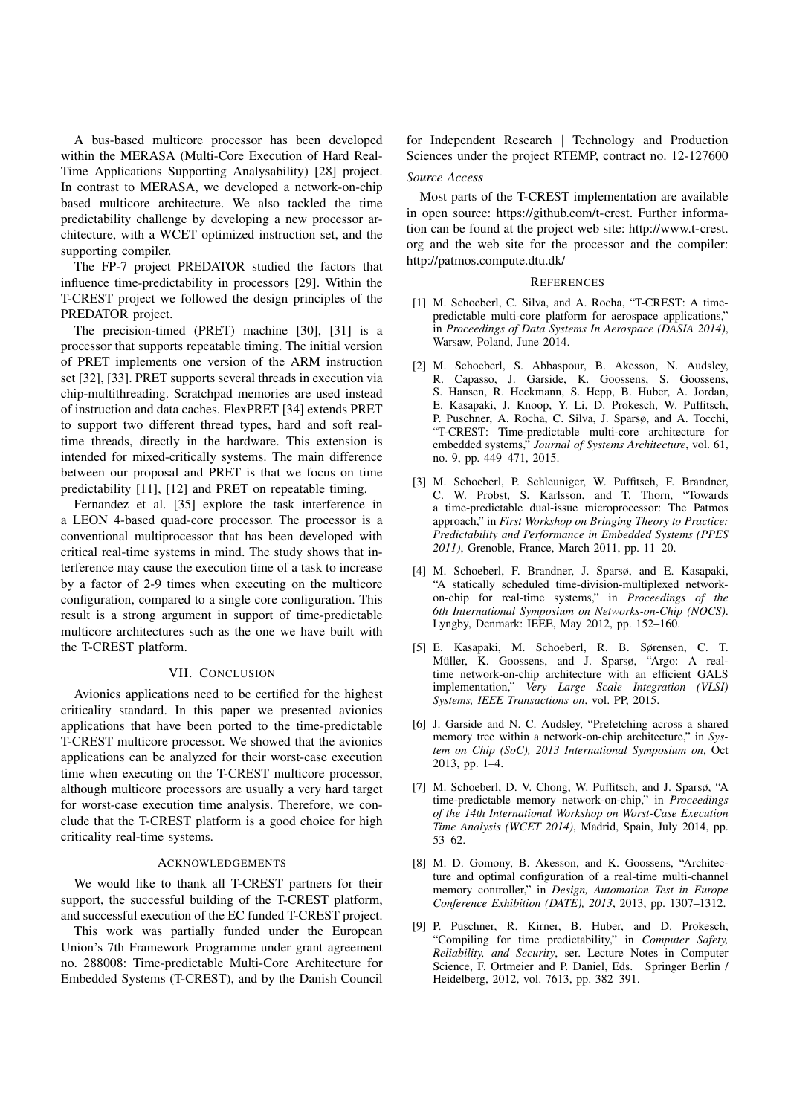A bus-based multicore processor has been developed within the MERASA (Multi-Core Execution of Hard Real-Time Applications Supporting Analysability) [28] project. In contrast to MERASA, we developed a network-on-chip based multicore architecture. We also tackled the time predictability challenge by developing a new processor architecture, with a WCET optimized instruction set, and the supporting compiler.

The FP-7 project PREDATOR studied the factors that influence time-predictability in processors [29]. Within the T-CREST project we followed the design principles of the PREDATOR project.

The precision-timed (PRET) machine [30], [31] is a processor that supports repeatable timing. The initial version of PRET implements one version of the ARM instruction set [32], [33]. PRET supports several threads in execution via chip-multithreading. Scratchpad memories are used instead of instruction and data caches. FlexPRET [34] extends PRET to support two different thread types, hard and soft realtime threads, directly in the hardware. This extension is intended for mixed-critically systems. The main difference between our proposal and PRET is that we focus on time predictability [11], [12] and PRET on repeatable timing.

Fernandez et al. [35] explore the task interference in a LEON 4-based quad-core processor. The processor is a conventional multiprocessor that has been developed with critical real-time systems in mind. The study shows that interference may cause the execution time of a task to increase by a factor of 2-9 times when executing on the multicore configuration, compared to a single core configuration. This result is a strong argument in support of time-predictable multicore architectures such as the one we have built with the T-CREST platform.

# VII. CONCLUSION

Avionics applications need to be certified for the highest criticality standard. In this paper we presented avionics applications that have been ported to the time-predictable T-CREST multicore processor. We showed that the avionics applications can be analyzed for their worst-case execution time when executing on the T-CREST multicore processor, although multicore processors are usually a very hard target for worst-case execution time analysis. Therefore, we conclude that the T-CREST platform is a good choice for high criticality real-time systems.

## ACKNOWLEDGEMENTS

We would like to thank all T-CREST partners for their support, the successful building of the T-CREST platform, and successful execution of the EC funded T-CREST project.

This work was partially funded under the European Union's 7th Framework Programme under grant agreement no. 288008: Time-predictable Multi-Core Architecture for Embedded Systems (T-CREST), and by the Danish Council for Independent Research *|* Technology and Production Sciences under the project RTEMP, contract no. 12-127600

#### *Source Access*

Most parts of the T-CREST implementation are available in open source: https://github.com/t-crest. Further information can be found at the project web site: http://www.t-crest. org and the web site for the processor and the compiler: http://patmos.compute.dtu.dk/

#### **REFERENCES**

- [1] M. Schoeberl, C. Silva, and A. Rocha, "T-CREST: A timepredictable multi-core platform for aerospace applications," in *Proceedings of Data Systems In Aerospace (DASIA 2014)*, Warsaw, Poland, June 2014.
- [2] M. Schoeberl, S. Abbaspour, B. Akesson, N. Audsley, R. Capasso, J. Garside, K. Goossens, S. Goossens, S. Hansen, R. Heckmann, S. Hepp, B. Huber, A. Jordan, E. Kasapaki, J. Knoop, Y. Li, D. Prokesch, W. Puffitsch, P. Puschner, A. Rocha, C. Silva, J. Sparsø, and A. Tocchi, "T-CREST: Time-predictable multi-core architecture for embedded systems," *Journal of Systems Architecture*, vol. 61, no. 9, pp. 449–471, 2015.
- [3] M. Schoeberl, P. Schleuniger, W. Puffitsch, F. Brandner, C. W. Probst, S. Karlsson, and T. Thorn, "Towards a time-predictable dual-issue microprocessor: The Patmos approach," in *First Workshop on Bringing Theory to Practice: Predictability and Performance in Embedded Systems (PPES 2011)*, Grenoble, France, March 2011, pp. 11–20.
- [4] M. Schoeberl, F. Brandner, J. Sparsø, and E. Kasapaki, "A statically scheduled time-division-multiplexed networkon-chip for real-time systems," in *Proceedings of the 6th International Symposium on Networks-on-Chip (NOCS)*. Lyngby, Denmark: IEEE, May 2012, pp. 152–160.
- [5] E. Kasapaki, M. Schoeberl, R. B. Sørensen, C. T. Müller, K. Goossens, and J. Sparsø, "Argo: A realtime network-on-chip architecture with an efficient GALS implementation," *Very Large Scale Integration (VLSI) Systems, IEEE Transactions on*, vol. PP, 2015.
- [6] J. Garside and N. C. Audsley, "Prefetching across a shared memory tree within a network-on-chip architecture," in *System on Chip (SoC), 2013 International Symposium on*, Oct 2013, pp. 1–4.
- [7] M. Schoeberl, D. V. Chong, W. Puffitsch, and J. Sparsø, "A time-predictable memory network-on-chip," in *Proceedings of the 14th International Workshop on Worst-Case Execution Time Analysis (WCET 2014)*, Madrid, Spain, July 2014, pp. 53–62.
- [8] M. D. Gomony, B. Akesson, and K. Goossens, "Architecture and optimal configuration of a real-time multi-channel memory controller," in *Design, Automation Test in Europe Conference Exhibition (DATE), 2013*, 2013, pp. 1307–1312.
- [9] P. Puschner, R. Kirner, B. Huber, and D. Prokesch, "Compiling for time predictability," in *Computer Safety, Reliability, and Security*, ser. Lecture Notes in Computer Science, F. Ortmeier and P. Daniel, Eds. Springer Berlin / Heidelberg, 2012, vol. 7613, pp. 382–391.